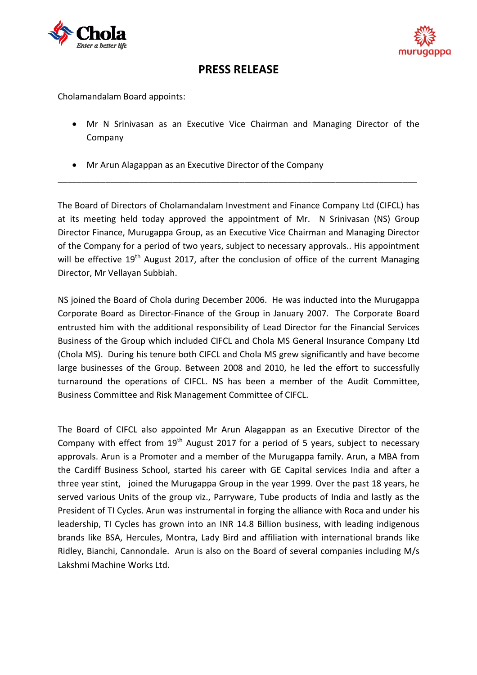



## **PRESS RELEASE**

Cholamandalam Board appoints:

- Mr N Srinivasan as an Executive Vice Chairman and Managing Director of the Company
- Mr Arun Alagappan as an Executive Director of the Company

The Board of Directors of Cholamandalam Investment and Finance Company Ltd (CIFCL) has at its meeting held today approved the appointment of Mr. N Srinivasan (NS) Group Director Finance, Murugappa Group, as an Executive Vice Chairman and Managing Director of the Company for a period of two years, subject to necessary approvals.. His appointment will be effective 19<sup>th</sup> August 2017, after the conclusion of office of the current Managing Director, Mr Vellayan Subbiah.

\_\_\_\_\_\_\_\_\_\_\_\_\_\_\_\_\_\_\_\_\_\_\_\_\_\_\_\_\_\_\_\_\_\_\_\_\_\_\_\_\_\_\_\_\_\_\_\_\_\_\_\_\_\_\_\_\_\_\_\_\_\_\_\_\_\_\_\_\_\_\_\_\_\_\_

NS joined the Board of Chola during December 2006. He was inducted into the Murugappa Corporate Board as Director‐Finance of the Group in January 2007. The Corporate Board entrusted him with the additional responsibility of Lead Director for the Financial Services Business of the Group which included CIFCL and Chola MS General Insurance Company Ltd (Chola MS). During his tenure both CIFCL and Chola MS grew significantly and have become large businesses of the Group. Between 2008 and 2010, he led the effort to successfully turnaround the operations of CIFCL. NS has been a member of the Audit Committee, Business Committee and Risk Management Committee of CIFCL.

The Board of CIFCL also appointed Mr Arun Alagappan as an Executive Director of the Company with effect from  $19<sup>th</sup>$  August 2017 for a period of 5 years, subject to necessary approvals. Arun is a Promoter and a member of the Murugappa family. Arun, a MBA from the Cardiff Business School, started his career with GE Capital services India and after a three year stint, joined the Murugappa Group in the year 1999. Over the past 18 years, he served various Units of the group viz., Parryware, Tube products of India and lastly as the President of TI Cycles. Arun was instrumental in forging the alliance with Roca and under his leadership, TI Cycles has grown into an INR 14.8 Billion business, with leading indigenous brands like BSA, Hercules, Montra, Lady Bird and affiliation with international brands like Ridley, Bianchi, Cannondale. Arun is also on the Board of several companies including M/s Lakshmi Machine Works Ltd.